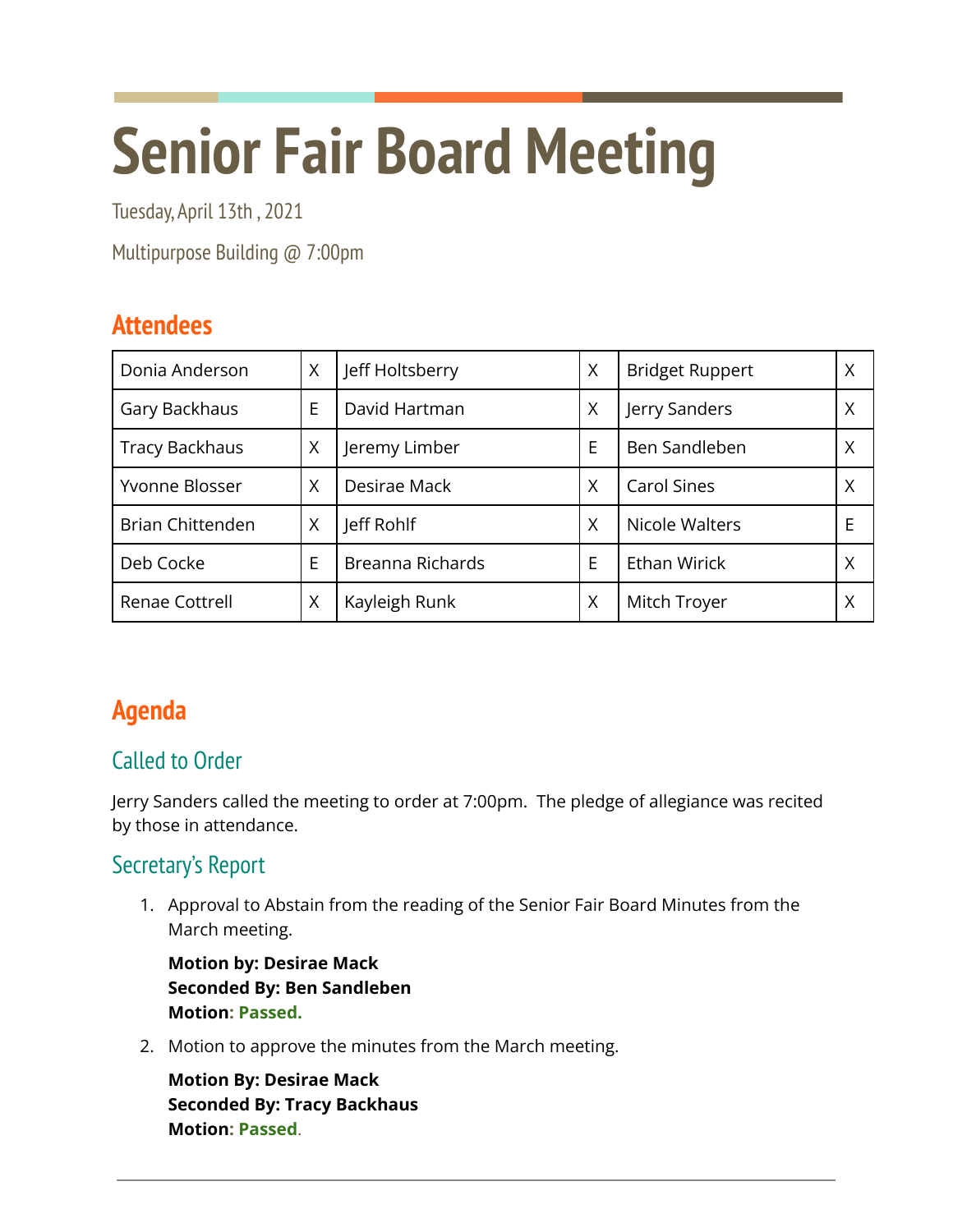# **Senior Fair Board Meeting**

Tuesday, April 13th , 2021

Multipurpose Building @ 7:00pm

# **Attendees**

| Donia Anderson          | Χ | Jeff Holtsberry  | X | <b>Bridget Ruppert</b> | X |
|-------------------------|---|------------------|---|------------------------|---|
| Gary Backhaus           | E | David Hartman    | Χ | Jerry Sanders          | X |
| <b>Tracy Backhaus</b>   | X | Jeremy Limber    | E | Ben Sandleben          | X |
| Yvonne Blosser          | X | Desirae Mack     | X | <b>Carol Sines</b>     | Χ |
| <b>Brian Chittenden</b> | Χ | Jeff Rohlf       | Χ | Nicole Walters         | E |
| Deb Cocke               | Е | Breanna Richards | E | Ethan Wirick           | Χ |
| Renae Cottrell          | Χ | Kayleigh Runk    | X | Mitch Troyer           | Χ |

# **Agenda**

# Called to Order

Jerry Sanders called the meeting to order at 7:00pm. The pledge of allegiance was recited by those in attendance.

# Secretary's Report

1. Approval to Abstain from the reading of the Senior Fair Board Minutes from the March meeting.

**Motion by: Desirae Mack Seconded By: Ben Sandleben Motion: Passed.**

2. Motion to approve the minutes from the March meeting.

**Motion By: Desirae Mack Seconded By: Tracy Backhaus Motion: Passed**.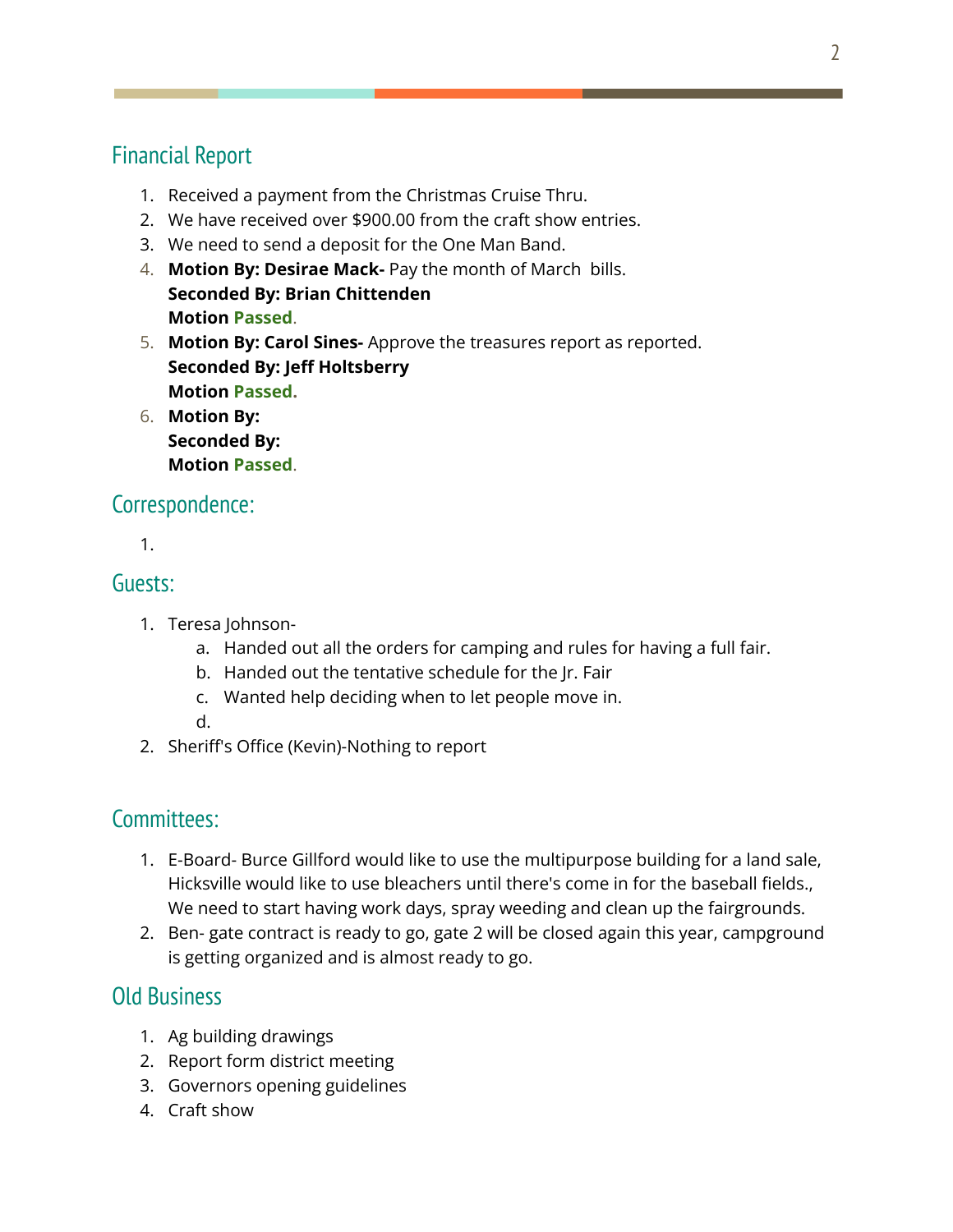## Financial Report

- 1. Received a payment from the Christmas Cruise Thru.
- 2. We have received over \$900.00 from the craft show entries.
- 3. We need to send a deposit for the One Man Band.
- 4. **Motion By: Desirae Mack-** Pay the month of March bills. **Seconded By: Brian Chittenden Motion Passed**.
- 5. **Motion By: Carol Sines-** Approve the treasures report as reported. **Seconded By: Jeff Holtsberry Motion Passed.**
- 6. **Motion By: Seconded By: Motion Passed**.

#### Correspondence:

1.

#### Guests:

- 1. Teresa Johnson
	- a. Handed out all the orders for camping and rules for having a full fair.
	- b. Handed out the tentative schedule for the Jr. Fair
	- c. Wanted help deciding when to let people move in.
	- d.
- 2. Sheriff's Office (Kevin)-Nothing to report

#### Committees:

- 1. E-Board- Burce Gillford would like to use the multipurpose building for a land sale, Hicksville would like to use bleachers until there's come in for the baseball fields., We need to start having work days, spray weeding and clean up the fairgrounds.
- 2. Ben- gate contract is ready to go, gate 2 will be closed again this year, campground is getting organized and is almost ready to go.

### Old Business

- 1. Ag building drawings
- 2. Report form district meeting
- 3. Governors opening guidelines
- 4. Craft show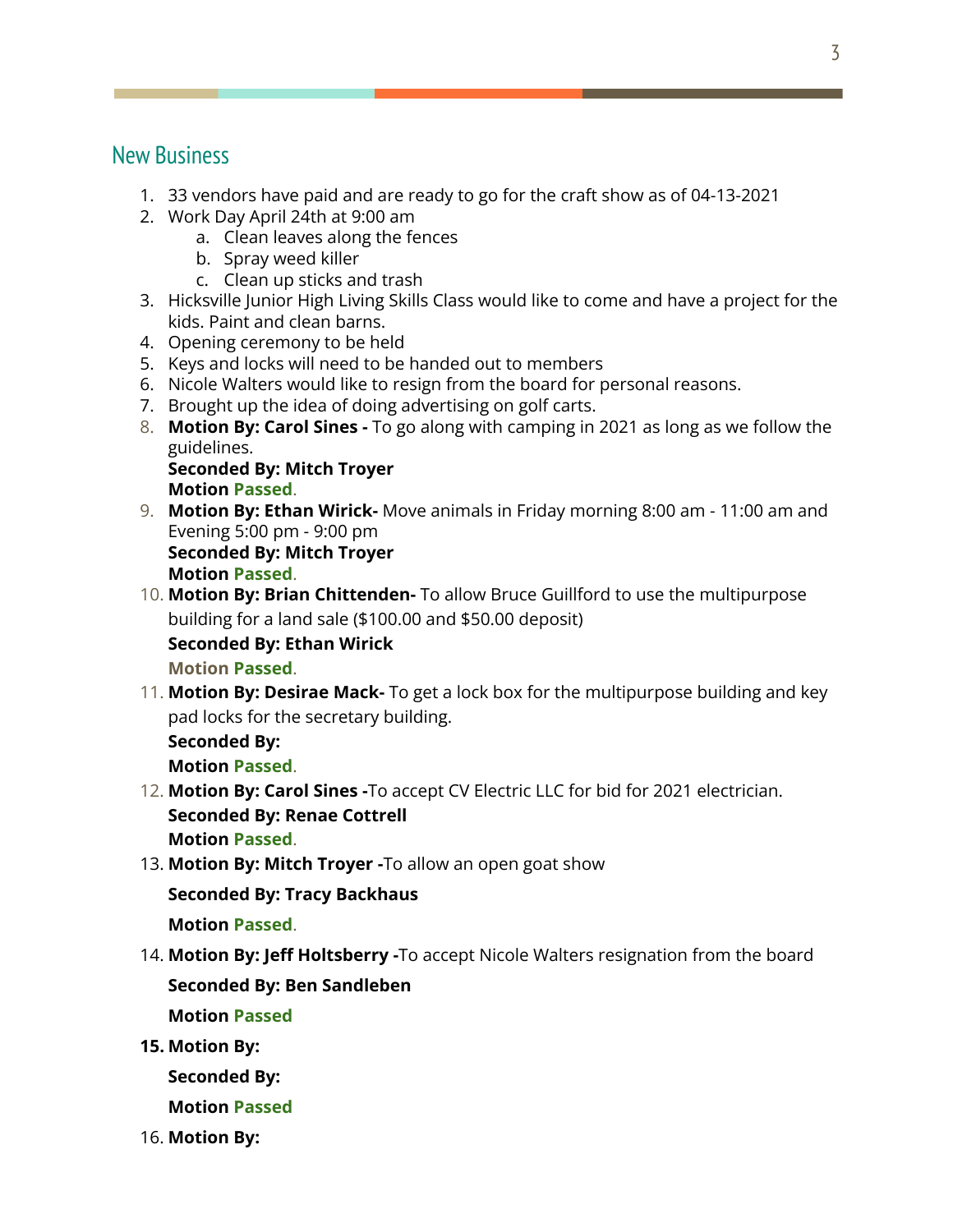#### New Business

- 1. 33 vendors have paid and are ready to go for the craft show as of 04-13-2021
- 2. Work Day April 24th at 9:00 am
	- a. Clean leaves along the fences
	- b. Spray weed killer
	- c. Clean up sticks and trash
- 3. Hicksville Junior High Living Skills Class would like to come and have a project for the kids. Paint and clean barns.
- 4. Opening ceremony to be held
- 5. Keys and locks will need to be handed out to members
- 6. Nicole Walters would like to resign from the board for personal reasons.
- 7. Brought up the idea of doing advertising on golf carts.
- 8. **Motion By: Carol Sines -** To go along with camping in 2021 as long as we follow the guidelines.

**Seconded By: Mitch Troyer Motion Passed**.

9. **Motion By: Ethan Wirick-** Move animals in Friday morning 8:00 am - 11:00 am and Evening 5:00 pm - 9:00 pm **Seconded By: Mitch Troyer**

**Motion Passed**.

10. **Motion By: Brian Chittenden-** To allow Bruce Guillford to use the multipurpose building for a land sale (\$100.00 and \$50.00 deposit)

**Seconded By: Ethan Wirick**

- **Motion Passed**.
- 11. **Motion By: Desirae Mack-** To get a lock box for the multipurpose building and key pad locks for the secretary building.

**Seconded By:**

**Motion Passed**.

- 12. **Motion By: Carol Sines -**To accept CV Electric LLC for bid for 2021 electrician. **Seconded By: Renae Cottrell Motion Passed**.
- 13. **Motion By: Mitch Troyer -**To allow an open goat show

**Seconded By: Tracy Backhaus**

**Motion Passed**.

14. **Motion By: Jeff Holtsberry -**To accept Nicole Walters resignation from the board

#### **Seconded By: Ben Sandleben**

**Motion Passed**

**15. Motion By:**

**Seconded By:**

**Motion Passed**

16. **Motion By:**